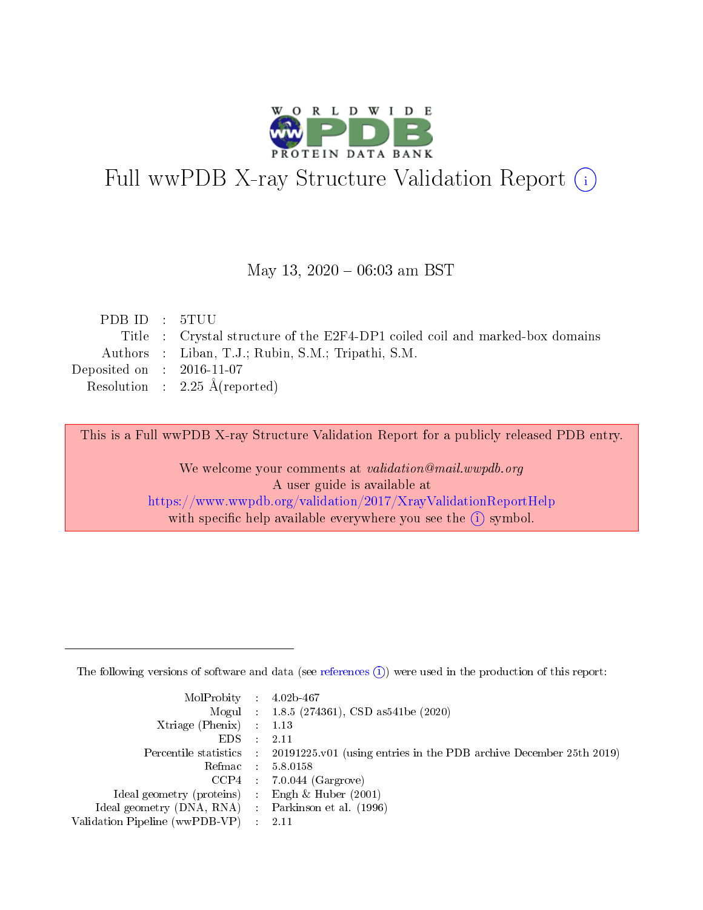

# Full wwPDB X-ray Structure Validation Report (i)

#### May 13,  $2020 - 06:03$  am BST

| PDB ID : 5TUU               |                                                                              |
|-----------------------------|------------------------------------------------------------------------------|
|                             | Title : Crystal structure of the E2F4-DP1 coiled coil and marked-box domains |
|                             | Authors : Liban, T.J.; Rubin, S.M.; Tripathi, S.M.                           |
| Deposited on : $2016-11-07$ |                                                                              |
|                             | Resolution : $2.25 \text{ Å}$ (reported)                                     |

This is a Full wwPDB X-ray Structure Validation Report for a publicly released PDB entry.

We welcome your comments at validation@mail.wwpdb.org A user guide is available at <https://www.wwpdb.org/validation/2017/XrayValidationReportHelp> with specific help available everywhere you see the  $(i)$  symbol.

The following versions of software and data (see [references](https://www.wwpdb.org/validation/2017/XrayValidationReportHelp#references)  $(1)$ ) were used in the production of this report:

| MolProbity : $4.02b-467$                            |                                                                                            |
|-----------------------------------------------------|--------------------------------------------------------------------------------------------|
|                                                     | Mogul : $1.8.5$ (274361), CSD as 541be (2020)                                              |
| $Xtriangle (Phenix)$ : 1.13                         |                                                                                            |
| $EDS$ :                                             | -2.11                                                                                      |
|                                                     | Percentile statistics : 20191225.v01 (using entries in the PDB archive December 25th 2019) |
| Refmac : 5.8.0158                                   |                                                                                            |
|                                                     | $CCP4$ 7.0.044 (Gargrove)                                                                  |
| Ideal geometry (proteins) : Engh $\&$ Huber (2001)  |                                                                                            |
| Ideal geometry (DNA, RNA) : Parkinson et al. (1996) |                                                                                            |
| Validation Pipeline (wwPDB-VP) : 2.11               |                                                                                            |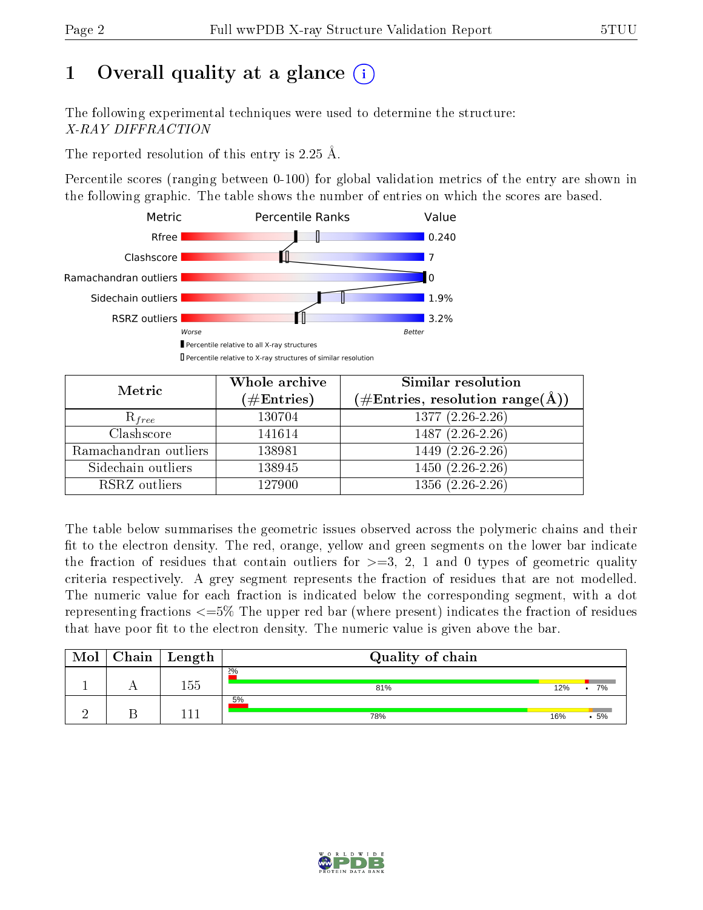## 1 [O](https://www.wwpdb.org/validation/2017/XrayValidationReportHelp#overall_quality)verall quality at a glance  $(i)$

The following experimental techniques were used to determine the structure: X-RAY DIFFRACTION

The reported resolution of this entry is 2.25 Å.

Percentile scores (ranging between 0-100) for global validation metrics of the entry are shown in the following graphic. The table shows the number of entries on which the scores are based.



| Metric                | Whole archive<br>$(\#\text{Entries})$ | Similar resolution<br>$(\#\text{Entries}, \text{resolution range}(\text{\AA}))$ |  |  |
|-----------------------|---------------------------------------|---------------------------------------------------------------------------------|--|--|
| $R_{free}$            | 130704                                | $1377(2.26-2.26)$                                                               |  |  |
| Clashscore            | 141614                                | $1487(2.26-2.26)$                                                               |  |  |
| Ramachandran outliers | 138981                                | $1449$ $(2.\overline{26-2.26})$                                                 |  |  |
| Sidechain outliers    | 138945                                | $1450(2.26-2.26)$                                                               |  |  |
| RSRZ outliers         | 127900                                | $1356(2.26-2.26)$                                                               |  |  |

The table below summarises the geometric issues observed across the polymeric chains and their fit to the electron density. The red, orange, yellow and green segments on the lower bar indicate the fraction of residues that contain outliers for  $>=3, 2, 1$  and 0 types of geometric quality criteria respectively. A grey segment represents the fraction of residues that are not modelled. The numeric value for each fraction is indicated below the corresponding segment, with a dot representing fractions  $\epsilon=5\%$  The upper red bar (where present) indicates the fraction of residues that have poor fit to the electron density. The numeric value is given above the bar.

| Mol | Chain | $\mathrel{\mathop{\rule{1pt}{\scriptstyle\relax}}\nolimits}$ Length | Quality of chain |     |    |  |  |  |
|-----|-------|---------------------------------------------------------------------|------------------|-----|----|--|--|--|
|     |       | 155                                                                 | 2%<br>81%        | 12% | 7% |  |  |  |
|     |       | $-11$                                                               | 5%<br>78%        | 16% | 5% |  |  |  |

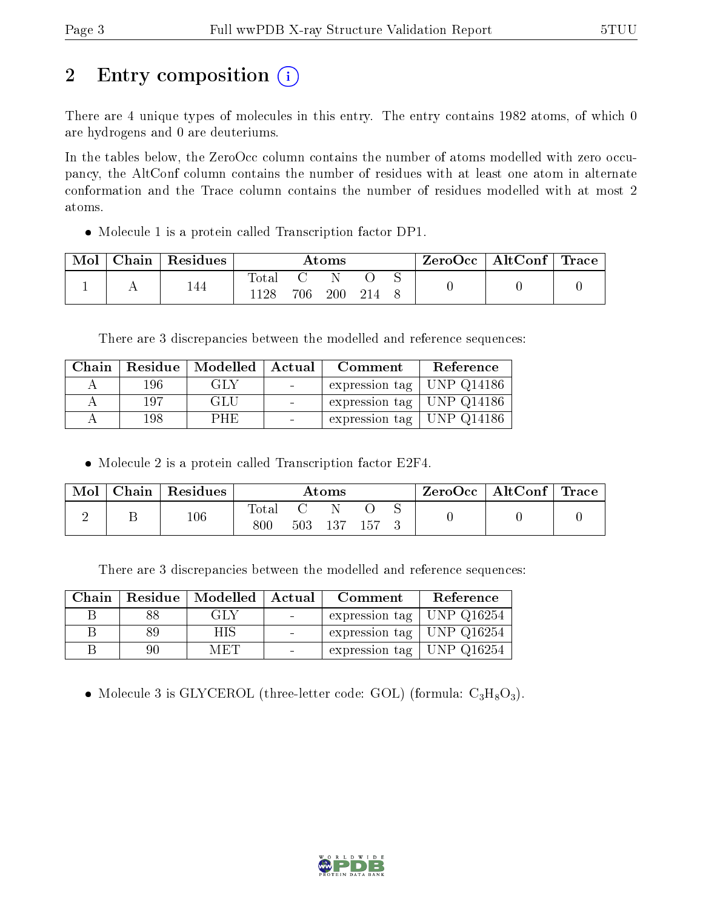# 2 Entry composition  $\left( \cdot \right)$

There are 4 unique types of molecules in this entry. The entry contains 1982 atoms, of which 0 are hydrogens and 0 are deuteriums.

In the tables below, the ZeroOcc column contains the number of atoms modelled with zero occupancy, the AltConf column contains the number of residues with at least one atom in alternate conformation and the Trace column contains the number of residues modelled with at most 2 atoms.

Molecule 1 is a protein called Transcription factor DP1.

| Mol | ${\rm Chain}$ | <sup>'</sup> Residues | $\rm{Atoms}$            |     |     | ZeroOcc   AltConf   Trace |  |  |  |
|-----|---------------|-----------------------|-------------------------|-----|-----|---------------------------|--|--|--|
|     |               | 144                   | $\mathrm{Total}$<br>198 | 706 | 200 |                           |  |  |  |

There are 3 discrepancies between the modelled and reference sequences:

|     | Chain   Residue   Modelled   Actual | Comment                       | Reference |
|-----|-------------------------------------|-------------------------------|-----------|
| 196 | GLY                                 | expression tag   UNP $Q14186$ |           |
| 197 | GLU                                 | expression tag   UNP $Q14186$ |           |
| 198 | <b>PHE</b>                          | expression tag   UNP $Q14186$ |           |

Molecule 2 is a protein called Transcription factor E2F4.

| Mol | Chain Residues | Atoms            |  |             | ZeroOcc   AltConf   Trace |  |  |  |
|-----|----------------|------------------|--|-------------|---------------------------|--|--|--|
|     | 106            | Total<br>$800\,$ |  | 503 137 157 |                           |  |  |  |

There are 3 discrepancies between the modelled and reference sequences:

| Chain |    | Residue   Modelled   Actual | Comment                                           | Reference |
|-------|----|-----------------------------|---------------------------------------------------|-----------|
|       |    | GLY                         | expression tag   UNP $Q16254$                     |           |
|       |    | H IS                        | $\vert$ expression tag $\vert$ UNP Q16254 $\vert$ |           |
|       | 90 | MET                         | $\vert$ expression tag $\vert$ UNP Q16254 $\vert$ |           |

• Molecule 3 is GLYCEROL (three-letter code: GOL) (formula:  $C_3H_8O_3$ ).

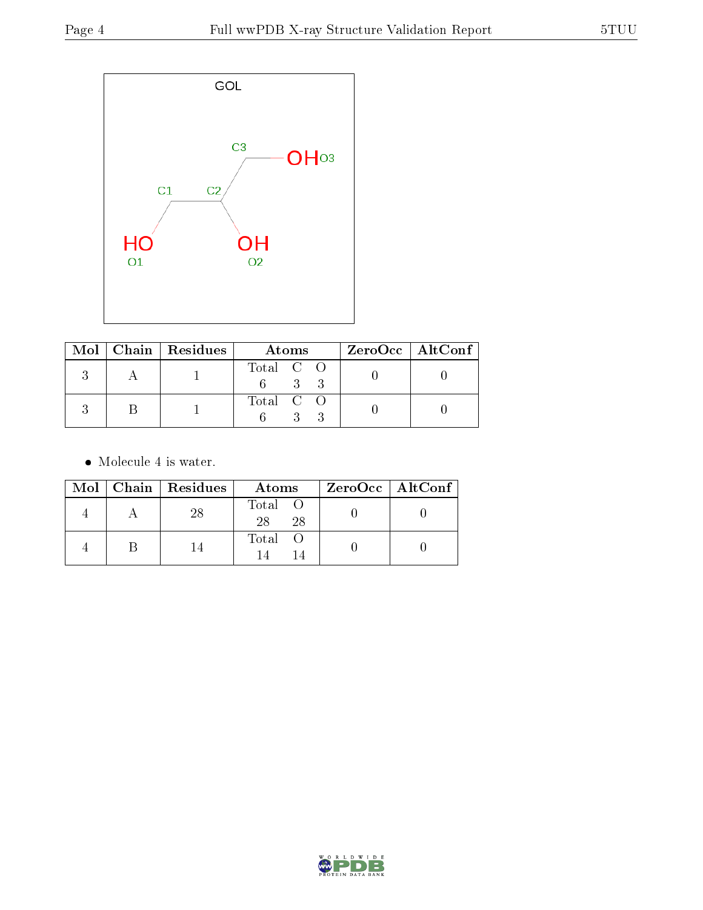

|  | Mol   Chain   Residues | Atoms     | $ZeroOcc \   \$ AltConf |
|--|------------------------|-----------|-------------------------|
|  |                        | Total C O |                         |
|  |                        | Total C O |                         |

 $\bullet\,$  Molecule 4 is water.

|  | Mol   Chain   Residues | Atoms               | $ZeroOcc \   \ AltConf \  $ |
|--|------------------------|---------------------|-----------------------------|
|  | 28                     | Total O<br>28<br>28 |                             |
|  | 14                     | Total O             |                             |

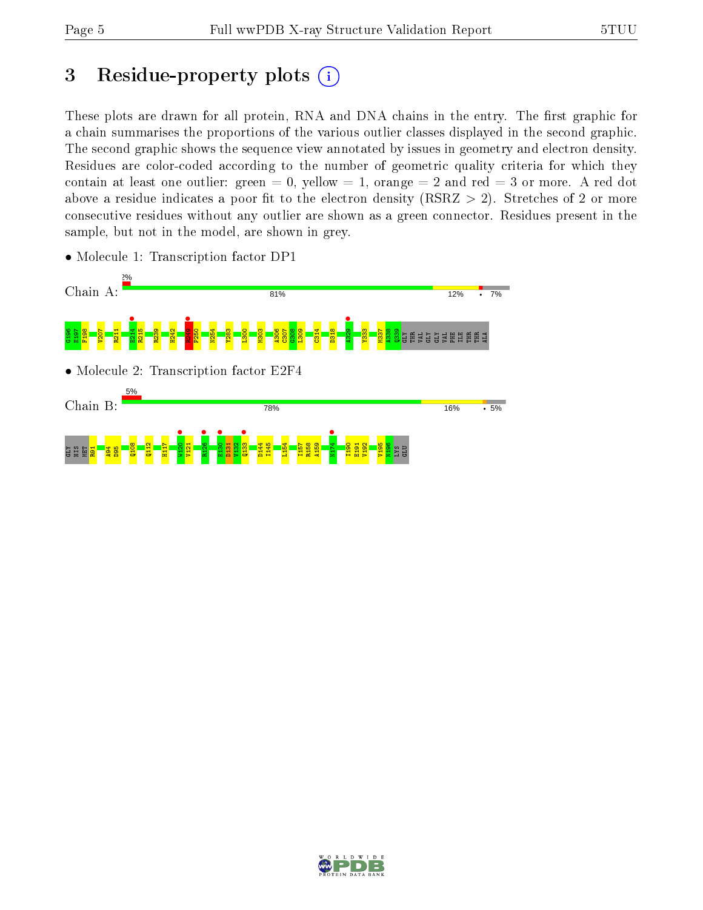## 3 Residue-property plots  $(i)$

These plots are drawn for all protein, RNA and DNA chains in the entry. The first graphic for a chain summarises the proportions of the various outlier classes displayed in the second graphic. The second graphic shows the sequence view annotated by issues in geometry and electron density. Residues are color-coded according to the number of geometric quality criteria for which they contain at least one outlier: green  $= 0$ , yellow  $= 1$ , orange  $= 2$  and red  $= 3$  or more. A red dot above a residue indicates a poor fit to the electron density (RSRZ  $> 2$ ). Stretches of 2 or more consecutive residues without any outlier are shown as a green connector. Residues present in the sample, but not in the model, are shown in grey.



• Molecule 1: Transcription factor DP1

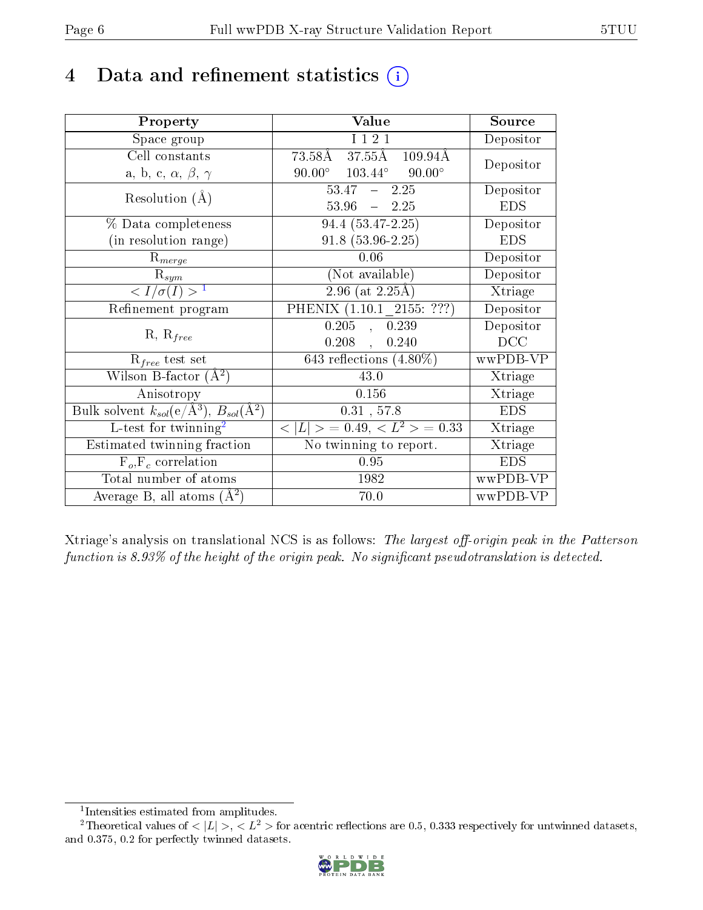## 4 Data and refinement statistics  $(i)$

| Property                                                         | Value                                             | Source     |
|------------------------------------------------------------------|---------------------------------------------------|------------|
| Space group                                                      | I 1 2 1                                           | Depositor  |
| Cell constants                                                   | $73.58\AA$ 37.55 $\AA$ 109.94 $\AA$               | Depositor  |
| a, b, c, $\alpha$ , $\beta$ , $\gamma$                           | $90.00^\circ$<br>$103.44^{\circ}$ $90.00^{\circ}$ |            |
| Resolution $(A)$                                                 | $53.47 - 2.25$                                    | Depositor  |
|                                                                  | $53.96 - 2.25$                                    | <b>EDS</b> |
| % Data completeness                                              | 94.4 (53.47-2.25)                                 | Depositor  |
| (in resolution range)                                            | $91.8(53.96-2.25)$                                | <b>EDS</b> |
| $\mathrm{R}_{merge}$                                             | 0.06                                              | Depositor  |
| $\mathrm{R}_{sym}$                                               | (Not available)                                   | Depositor  |
| $\langle I/\sigma(I) \rangle^{-1}$                               | $2.96$ (at $2.25\text{\AA}$ )                     | Xtriage    |
| Refinement program                                               | PHENIX (1.10.1 2155: ???)                         | Depositor  |
| $R, R_{free}$                                                    | 0.205<br>0.239<br>$\mathcal{L}_{\mathcal{A}}$     | Depositor  |
|                                                                  | 0.208<br>0.240<br>$\mathcal{L}$                   | DCC        |
| $R_{free}$ test set                                              | 643 reflections $(4.80\%)$                        | wwPDB-VP   |
| Wilson B-factor $(A^2)$                                          | 43.0                                              | Xtriage    |
| Anisotropy                                                       | 0.156                                             | Xtriage    |
| Bulk solvent $k_{sol}(\text{e}/\text{A}^3), B_{sol}(\text{A}^2)$ | $0.31$ , 57.8                                     | <b>EDS</b> |
| L-test for twinning <sup>2</sup>                                 | $< L >$ = 0.49, $< L2$ = 0.33                     | Xtriage    |
| Estimated twinning fraction                                      | No twinning to report.                            | Xtriage    |
| $F_o, F_c$ correlation                                           | 0.95                                              | <b>EDS</b> |
| Total number of atoms                                            | 1982                                              | wwPDB-VP   |
| Average B, all atoms $(A^2)$                                     | 70.0                                              | wwPDB-VP   |

Xtriage's analysis on translational NCS is as follows: The largest off-origin peak in the Patterson function is  $8.93\%$  of the height of the origin peak. No significant pseudotranslation is detected.

<sup>&</sup>lt;sup>2</sup>Theoretical values of  $\langle |L| \rangle$ ,  $\langle L^2 \rangle$  for acentric reflections are 0.5, 0.333 respectively for untwinned datasets, and 0.375, 0.2 for perfectly twinned datasets.



<span id="page-5-1"></span><span id="page-5-0"></span><sup>1</sup> Intensities estimated from amplitudes.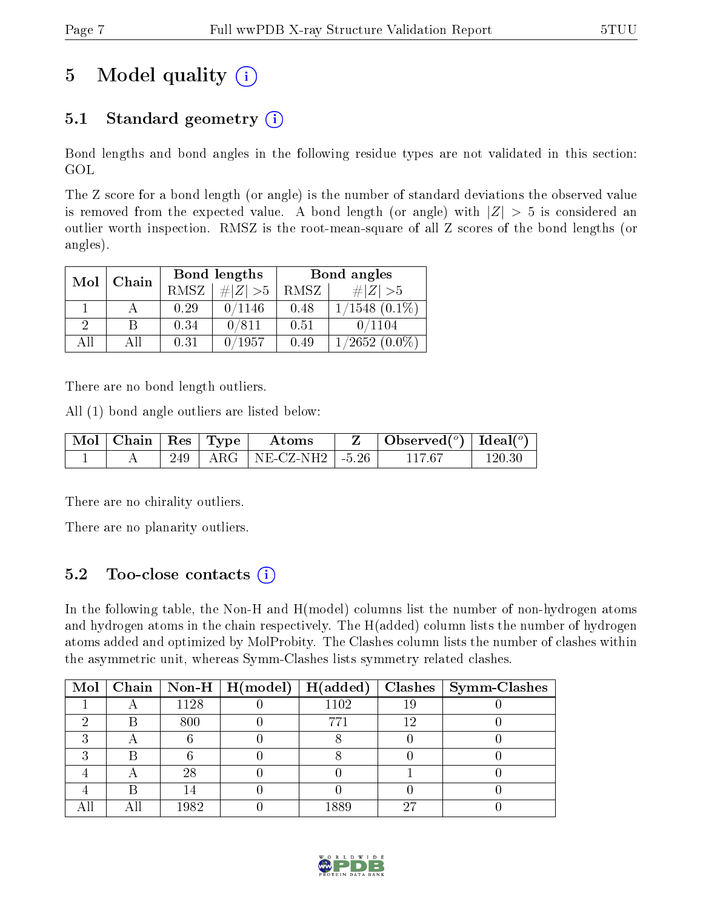## 5 Model quality  $(i)$

### 5.1 Standard geometry  $(i)$

Bond lengths and bond angles in the following residue types are not validated in this section: GOL

The Z score for a bond length (or angle) is the number of standard deviations the observed value is removed from the expected value. A bond length (or angle) with  $|Z| > 5$  is considered an outlier worth inspection. RMSZ is the root-mean-square of all Z scores of the bond lengths (or angles).

| Mol | Chain |      | Bond lengths | Bond angles |                    |  |
|-----|-------|------|--------------|-------------|--------------------|--|
|     |       | RMSZ | $\# Z  > 5$  | RMSZ        | $\# Z  > 5$        |  |
|     |       | 0.29 | 0/1146       | 0.48        | $1/1548$ $(0.1\%)$ |  |
| 2   | В     | 0.34 | 0/811        | 0.51        | 0/1104             |  |
| AĦ  | АH    | 0.31 | 0/1957       | 0.49        | $1/2652(0.0\%)$    |  |

There are no bond length outliers.

All (1) bond angle outliers are listed below:

| $\mid$ Mol $\mid$ Chain $\mid$ Res $\mid$ Type |  | Atoms                           | $\vert$ Observed $\vert$ <sup>o</sup> ) $\vert$ Ideal $\vert$ <sup>o</sup> ) |            |
|------------------------------------------------|--|---------------------------------|------------------------------------------------------------------------------|------------|
|                                                |  | 249   ARG   NE-CZ-NH2   $-5.26$ | 117.67                                                                       | $120.30\,$ |

There are no chirality outliers.

There are no planarity outliers.

### 5.2 Too-close contacts  $(i)$

In the following table, the Non-H and H(model) columns list the number of non-hydrogen atoms and hydrogen atoms in the chain respectively. The H(added) column lists the number of hydrogen atoms added and optimized by MolProbity. The Clashes column lists the number of clashes within the asymmetric unit, whereas Symm-Clashes lists symmetry related clashes.

|  |      | Mol   Chain   Non-H   H(model)   H(added) |      |     | $\textbf{Class} \mid \textbf{Symm-Class}$ |
|--|------|-------------------------------------------|------|-----|-------------------------------------------|
|  | 1128 |                                           | 1102 | 19  |                                           |
|  | 800  |                                           |      | 1 ງ |                                           |
|  |      |                                           |      |     |                                           |
|  |      |                                           |      |     |                                           |
|  | 28   |                                           |      |     |                                           |
|  |      |                                           |      |     |                                           |
|  | 1982 |                                           | 1889 | ിട  |                                           |

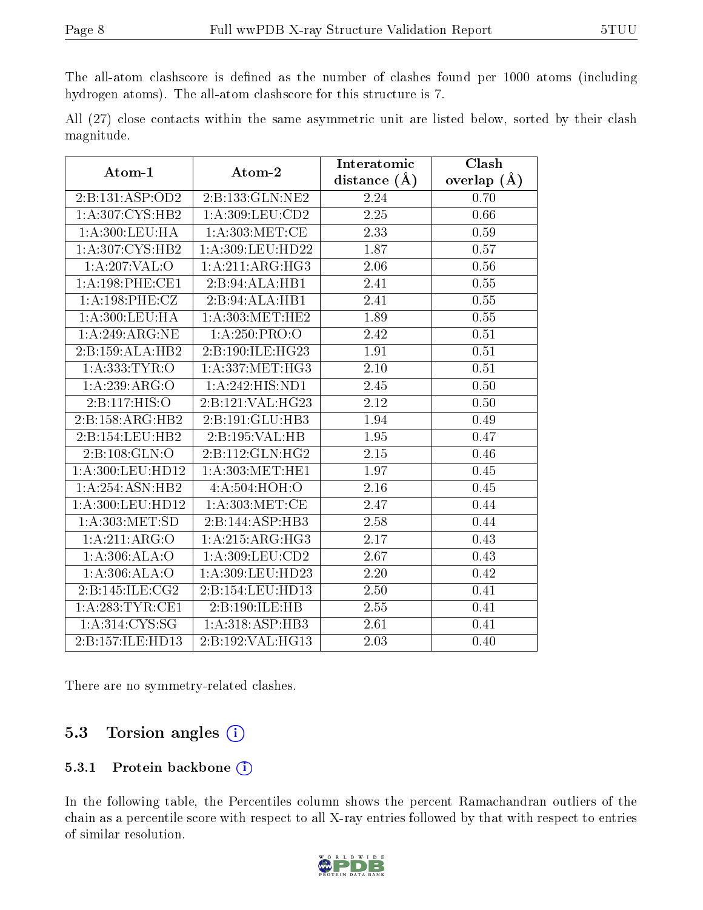The all-atom clashscore is defined as the number of clashes found per 1000 atoms (including hydrogen atoms). The all-atom clashscore for this structure is 7.

|            |  |  | All (27) close contacts within the same asymmetric unit are listed below, sorted by their clash |  |  |  |  |
|------------|--|--|-------------------------------------------------------------------------------------------------|--|--|--|--|
| magnitude. |  |  |                                                                                                 |  |  |  |  |

| Atom-1            | Atom-2                          | Interatomic    | Clash         |  |
|-------------------|---------------------------------|----------------|---------------|--|
|                   |                                 | distance $(A)$ | overlap $(A)$ |  |
| 2:B:131:ASP:OD2   | 2:B:133:GLN:NE2                 | 2.24           | 0.70          |  |
| 1: A:307: CYS:HB2 | 1: A:309:LEU:CD2                | 2.25           | 0.66          |  |
| 1:A:300:LEU:HA    | 1: A:303: MET:CE                | 2.33           | 0.59          |  |
| 1: A:307: CYS:HB2 | 1: A:309: LEU: HD22             | 1.87           | 0.57          |  |
| 1:A:207:VAL:O     | 1:A:211:ARG:HG3                 | 2.06           | 0.56          |  |
| 1: A:198: PHE:CE1 | 2:B:94:ALA:HB1                  | 2.41           | 0.55          |  |
| 1:A:198:PHE:CZ    | 2:B:94:ALA:HB1                  | 2.41           | 0.55          |  |
| 1:A:300:LEU:HA    | $1: A:303: \overline{MET}$ :HE2 | 1.89           | 0.55          |  |
| 1:A:249:ARG:NE    | 1: A:250: PRO:O                 | 2.42           | 0.51          |  |
| 2:Bi:159:ALA:HB2  | 2:B:190:ILE:HG23                | 1.91           | 0.51          |  |
| 1: A: 333: TYR: O | 1: A: 337: MET:HG3              | 2.10           | 0.51          |  |
| 1:A:239:ARG:O     | 1:A:242:HIS:ND1                 | 2.45           | 0.50          |  |
| 2:B:117:HIS:O     | 2:B:121:VAL:HG23                | 2.12           | $0.50\,$      |  |
| 2:B:158:ARG:HB2   | 2:B:191:GLU:HB3                 | 1.94           | 0.49          |  |
| 2:B:154:LEU:HB2   | 2:B:195:VAL:HB                  | 1.95           | 0.47          |  |
| 2:B:108:GLN:O     | 2:B:112:GLN:HG2                 | $2.15\,$       | 0.46          |  |
| 1:A:300:LEU:HD12  | 1: A:303:MET:HE1                | 1.97           | 0.45          |  |
| 1:A:254:ASN:HB2   | 4: A:504:HOH:O                  | 2.16           | 0.45          |  |
| 1:A:300:LEU:HD12  | 1: A: 303: MET:CE               | 2.47           | 0.44          |  |
| 1: A:303:MET:SD   | 2:B:144:ASP:HB3                 | 2.58           | 0.44          |  |
| 1:A:211:ARG:O     | 1:A:215:ARG:HG3                 | 2.17           | 0.43          |  |
| 1:A:306:ALA:O     | 1: A:309:LEU:CD2                | 2.67           | 0.43          |  |
| 1:A:306:ALA:O     | 1:A:309:LEU:HD23                | 2.20           | 0.42          |  |
| 2:B:145:ILE:CG2   | 2:B:154:LEU:HD13                | 2.50           | 0.41          |  |
| 1: A:283:TYR:CE1  | 2:B:190:ILE:HB                  | 2.55           | 0.41          |  |
| 1:A:314:CYS:SG    | 1:A:318:ASP:HB3                 | 2.61           | 0.41          |  |
| 2:B:157:ILE:HD13  | 2:B:192:VAL:HG13                | 2.03           | 0.40          |  |

There are no symmetry-related clashes.

#### 5.3 Torsion angles (i)

#### 5.3.1 Protein backbone (i)

In the following table, the Percentiles column shows the percent Ramachandran outliers of the chain as a percentile score with respect to all X-ray entries followed by that with respect to entries of similar resolution.

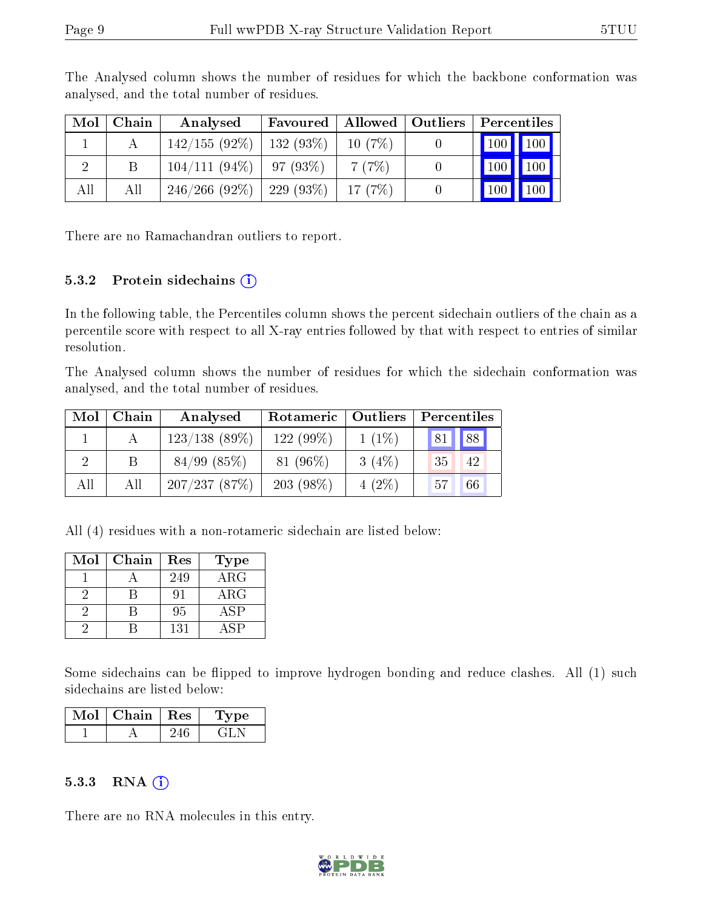| $\bf{Mol}$ | Chain | Analysed                      | Favoured |        | Allowed   Outliers | Percentiles           |
|------------|-------|-------------------------------|----------|--------|--------------------|-----------------------|
|            |       | $142/155(92\%)$   132 (93\%)  |          | 10(7%) |                    | 100 100               |
|            |       | $104/111 (94\%)$   97 (93\%)  |          | 7(7%)  |                    | 100 100               |
| All        | All   | $246/266$ (92\%)   229 (93\%) |          | 17(7%) |                    | $\boxed{100}$<br> 100 |

The Analysed column shows the number of residues for which the backbone conformation was analysed, and the total number of residues.

There are no Ramachandran outliers to report.

#### 5.3.2 Protein sidechains  $(i)$

In the following table, the Percentiles column shows the percent sidechain outliers of the chain as a percentile score with respect to all X-ray entries followed by that with respect to entries of similar resolution.

The Analysed column shows the number of residues for which the sidechain conformation was analysed, and the total number of residues.

| Mol | Chain | Analysed         | Rotameric   Outliers |          | Percentiles |  |  |
|-----|-------|------------------|----------------------|----------|-------------|--|--|
|     |       | $123/138$ (89\%) | 122 (99%)            | $1(1\%)$ | 88 <br> 81  |  |  |
|     |       | $84/99$ $(85\%)$ | $81(96\%)$           | 3(4%)    | 35<br>-42   |  |  |
| All | All   | 207/237(87%)     | $203(98\%)$          | $4(2\%)$ | 66<br>57    |  |  |

All (4) residues with a non-rotameric sidechain are listed below:

| Mol | Chain | Res | <b>Type</b> |
|-----|-------|-----|-------------|
|     |       | 249 | ARG         |
|     |       |     | $\rm{ARG}$  |
|     |       | 95  | ASP         |
|     |       | 131 | <b>ASP</b>  |

Some sidechains can be flipped to improve hydrogen bonding and reduce clashes. All (1) such sidechains are listed below:

| Mol | Chain | $\mid$ Res | Type |  |
|-----|-------|------------|------|--|
|     |       |            |      |  |

#### $5.3.3$  RNA  $(i)$

There are no RNA molecules in this entry.

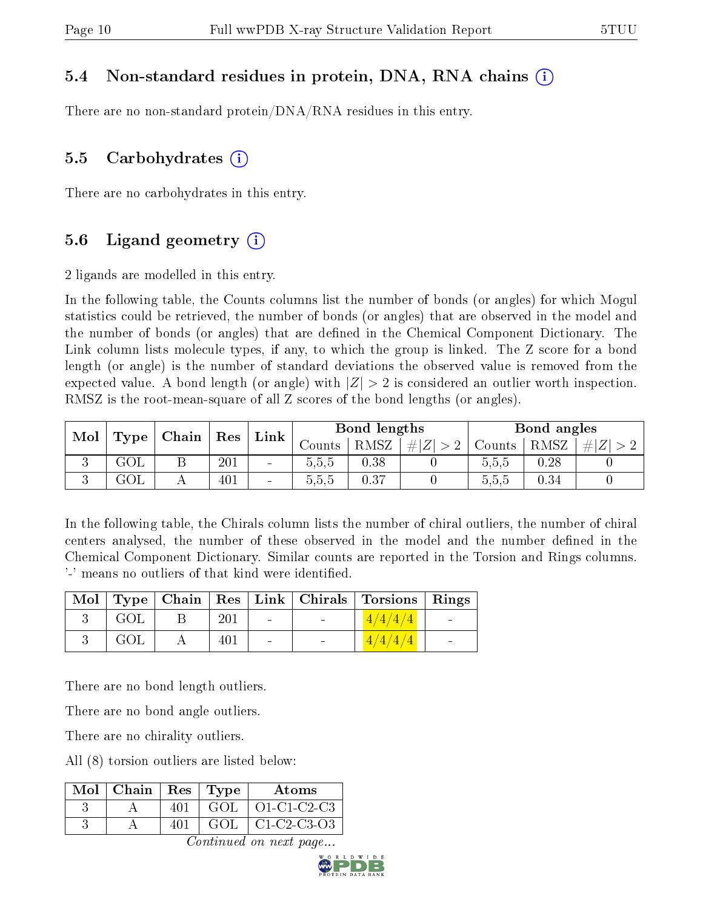### 5.4 Non-standard residues in protein, DNA, RNA chains (i)

There are no non-standard protein/DNA/RNA residues in this entry.

#### 5.5 Carbohydrates  $(i)$

There are no carbohydrates in this entry.

### 5.6 Ligand geometry  $(i)$

2 ligands are modelled in this entry.

In the following table, the Counts columns list the number of bonds (or angles) for which Mogul statistics could be retrieved, the number of bonds (or angles) that are observed in the model and the number of bonds (or angles) that are dened in the Chemical Component Dictionary. The Link column lists molecule types, if any, to which the group is linked. The Z score for a bond length (or angle) is the number of standard deviations the observed value is removed from the expected value. A bond length (or angle) with  $|Z| > 2$  is considered an outlier worth inspection. RMSZ is the root-mean-square of all Z scores of the bond lengths (or angles).

| Mol | Type | $\mid$ Chain | Bond lengths<br>$\operatorname{Res}$<br>Link |                              |        |      | Bond angles |        |      |     |
|-----|------|--------------|----------------------------------------------|------------------------------|--------|------|-------------|--------|------|-----|
|     |      |              |                                              |                              | Counts | RMSZ | $\# Z $     | Counts | RMSZ | H Z |
| v   | GOL  |              | 201                                          | $\blacksquare$               | 5.5.5  | 0.38 |             | 5.5,5  | 0.28 |     |
| IJ  | GOL  |              | 401                                          | $\qquad \qquad \blacksquare$ | 0.5.5  | 0.37 |             | 5.5.5  | 0.34 |     |

In the following table, the Chirals column lists the number of chiral outliers, the number of chiral centers analysed, the number of these observed in the model and the number defined in the Chemical Component Dictionary. Similar counts are reported in the Torsion and Rings columns. '-' means no outliers of that kind were identified.

|     |     |                          |                                   | Mol Type Chain Res Link Chirals Torsions Rings |                          |
|-----|-----|--------------------------|-----------------------------------|------------------------------------------------|--------------------------|
| GOL | 201 | <b>Contract Contract</b> | <b>Contract Contract Contract</b> | 1/4/4/4                                        | <b>Contract Contract</b> |
| GOL |     |                          |                                   | 1/4/4/4                                        | $\overline{\phantom{a}}$ |

There are no bond length outliers.

There are no bond angle outliers.

There are no chirality outliers.

All (8) torsion outliers are listed below:

| $Mol$   Chain   Res | $\perp$ Type | Atoms         |
|---------------------|--------------|---------------|
|                     | GOL          | $O1-C1-C2-C3$ |
|                     | GOL.         | C1-C2-C3-O3   |

Continued on next page...

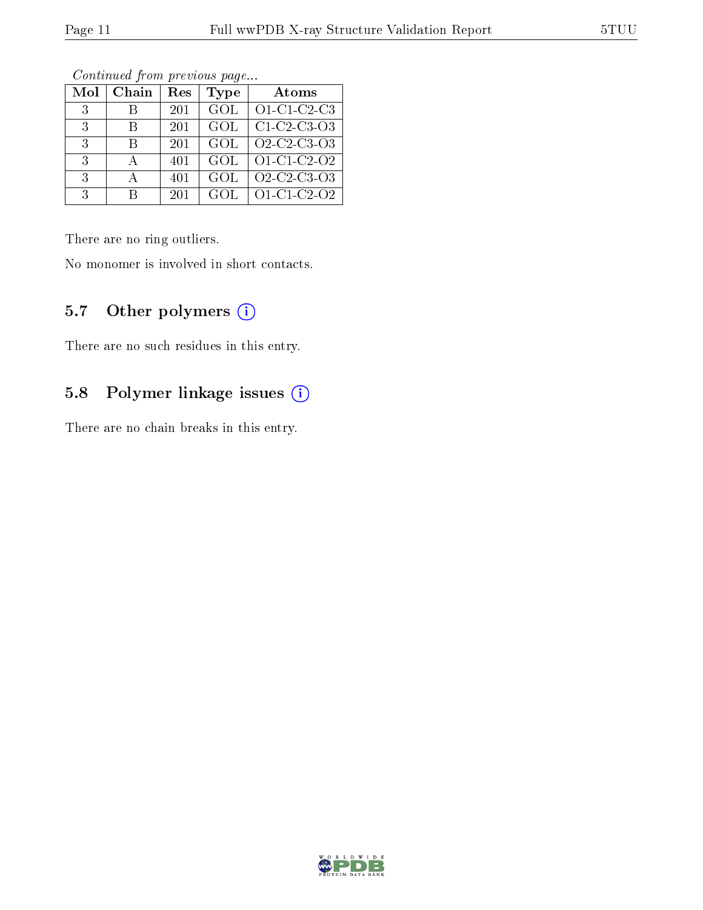| Mol           | Chain | Res | Type       | Atoms                                                          |
|---------------|-------|-----|------------|----------------------------------------------------------------|
| 3             |       | 201 | GOL        | $O1-C1-C2-C3$                                                  |
| $\mathcal{R}$ | В     | 201 | GOL        | $C1-C2-C3-O3$                                                  |
| $\mathcal{R}$ | В     | 201 | GOL        | O <sub>2</sub> -C <sub>2</sub> -C <sub>3</sub> -O <sub>3</sub> |
| 3             |       | 401 | GOL        | $O1-C1-C2-O2$                                                  |
| $\mathcal{R}$ |       | 401 | <b>GOL</b> | O <sub>2</sub> -C <sub>2</sub> -C <sub>3</sub> -O <sub>3</sub> |
| 3             | R     | 201 | GOL        | O1-C1-C2-O2                                                    |

Continued from previous page...

There are no ring outliers.

No monomer is involved in short contacts.

### 5.7 [O](https://www.wwpdb.org/validation/2017/XrayValidationReportHelp#nonstandard_residues_and_ligands)ther polymers (i)

There are no such residues in this entry.

#### 5.8 Polymer linkage issues (i)

There are no chain breaks in this entry.

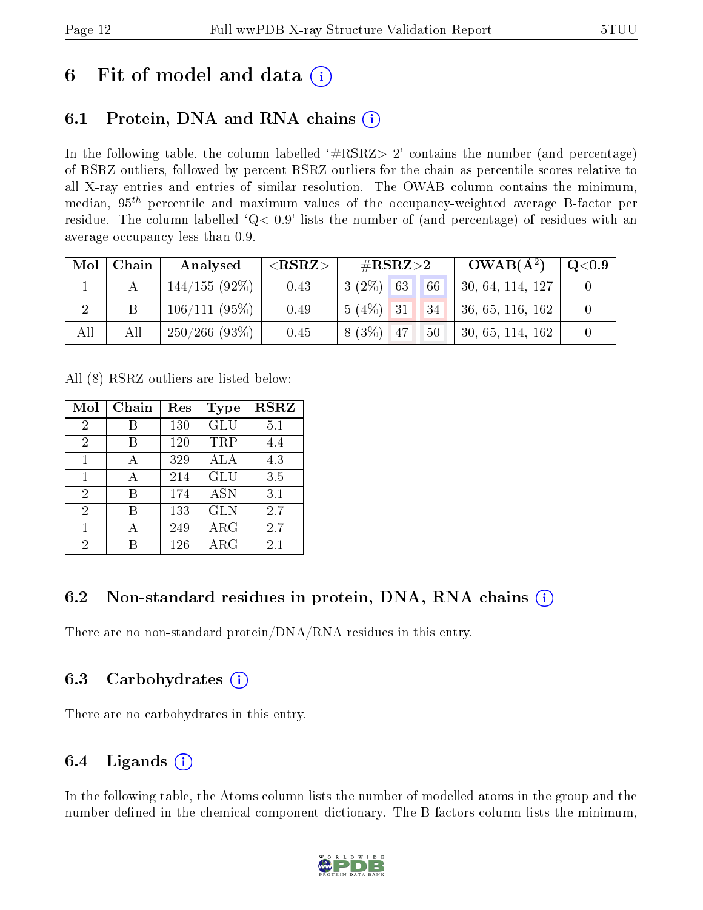## 6 Fit of model and data  $\left( \cdot \right)$

### 6.1 Protein, DNA and RNA chains (i)

In the following table, the column labelled  $#RSRZ>2'$  contains the number (and percentage) of RSRZ outliers, followed by percent RSRZ outliers for the chain as percentile scores relative to all X-ray entries and entries of similar resolution. The OWAB column contains the minimum, median,  $95<sup>th</sup>$  percentile and maximum values of the occupancy-weighted average B-factor per residue. The column labelled  $Q< 0.9$  lists the number of (and percentage) of residues with an average occupancy less than 0.9.

| Mol | Chain | Analysed           | ${ <\hspace{-1.5pt}{\mathrm{RSRZ}} \hspace{-1.5pt}>}$ | $\rm \#RSRZ{>}2$                | $OWAB(A^2)$      | $\rm{Q}\textcolor{black}{<}0.9$ |
|-----|-------|--------------------|-------------------------------------------------------|---------------------------------|------------------|---------------------------------|
|     |       | $144/155(92\%)$    | 0.43                                                  | $3(2\%)$ 63<br>66               | 30, 64, 114, 127 |                                 |
|     |       | 106/111(95%)       | 0.49                                                  | $5(4\%)$ 31<br>134 <sup>1</sup> | 36, 65, 116, 162 |                                 |
| All | All   | $250/266$ $(93\%)$ | 0.45                                                  | $8(3\%)$ 47<br>50               | 30, 65, 114, 162 |                                 |

All (8) RSRZ outliers are listed below:

| Mol            | Chain | Res | Type       | <b>RSRZ</b> |
|----------------|-------|-----|------------|-------------|
| $\overline{2}$ |       | 130 | GLU        | 5.1         |
| 2              | В     | 120 | TRP        | 4.4         |
| $\mathbf{1}$   | А     | 329 | ALA        | 4.3         |
| 1              | А     | 214 | <b>GLU</b> | 3.5         |
| $\overline{2}$ | В     | 174 | <b>ASN</b> | 3.1         |
| $\overline{2}$ | R     | 133 | <b>GLN</b> | 2.7         |
|                |       | 249 | $\rm{ARG}$ | 2.7         |
| 2              |       | 126 | ARG        | 2.1         |

### 6.2 Non-standard residues in protein, DNA, RNA chains (i)

There are no non-standard protein/DNA/RNA residues in this entry.

### 6.3 Carbohydrates (i)

There are no carbohydrates in this entry.

### 6.4 Ligands  $(i)$

In the following table, the Atoms column lists the number of modelled atoms in the group and the number defined in the chemical component dictionary. The B-factors column lists the minimum,